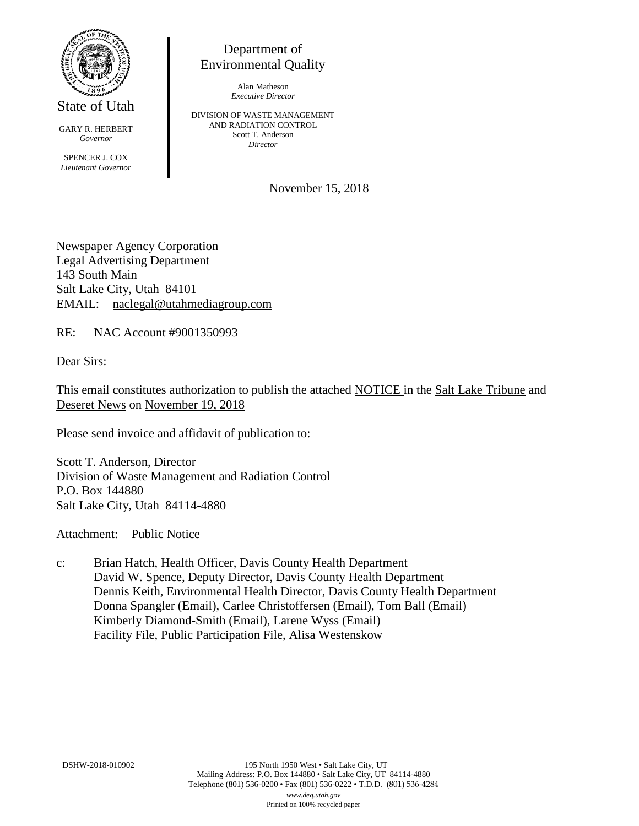

State of Utah

GARY R. HERBERT *Governor* SPENCER J. COX *Lieutenant Governor*

Department of Environmental Quality

> Alan Matheson *Executive Director*

DIVISION OF WASTE MANAGEMENT AND RADIATION CONTROL Scott T. Anderson *Director*

November 15, 2018

Newspaper Agency Corporation Legal Advertising Department 143 South Main Salt Lake City, Utah 84101 EMAIL: naclegal@utahmediagroup.com

RE: NAC Account #9001350993

Dear Sirs:

This email constitutes authorization to publish the attached NOTICE in the Salt Lake Tribune and Deseret News on November 19, 2018

Please send invoice and affidavit of publication to:

Scott T. Anderson, Director Division of Waste Management and Radiation Control P.O. Box 144880 Salt Lake City, Utah 84114-4880

Attachment: Public Notice

c: Brian Hatch, Health Officer, Davis County Health Department David W. Spence, Deputy Director, Davis County Health Department Dennis Keith, Environmental Health Director, Davis County Health Department Donna Spangler (Email), Carlee Christoffersen (Email), Tom Ball (Email) Kimberly Diamond-Smith (Email), Larene Wyss (Email) Facility File, Public Participation File, Alisa Westenskow